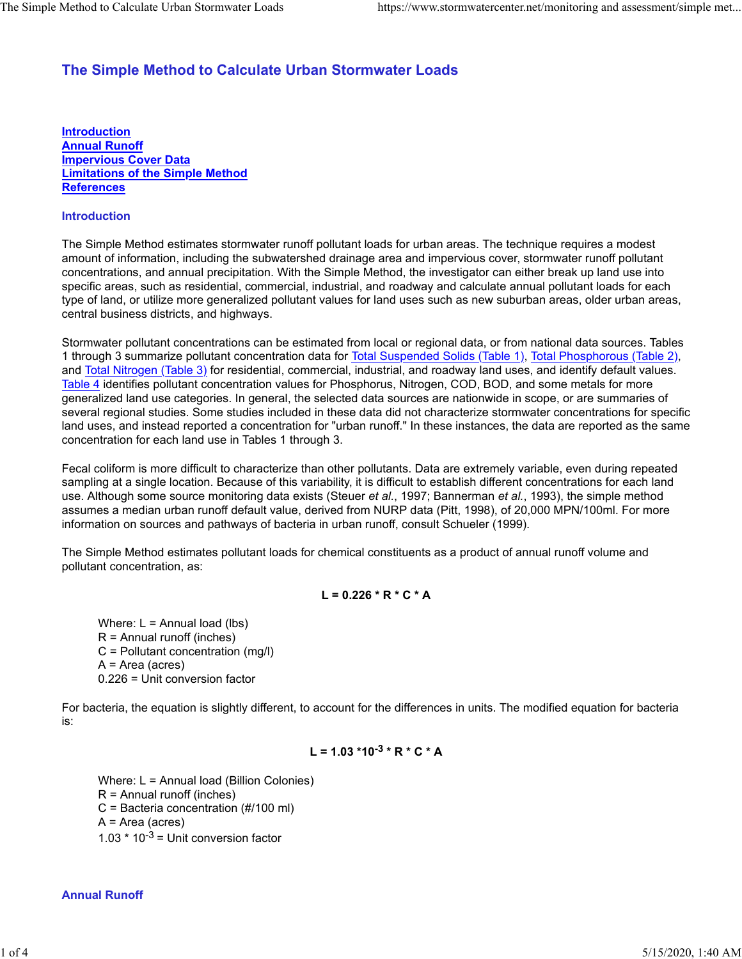# **The Simple Method to Calculate Urban Stormwater Loads**

**Introduction Annual Runoff Impervious Cover Data Limitations of the Simple Method References**

## **Introduction**

The Simple Method estimates stormwater runoff pollutant loads for urban areas. The technique requires a modest amount of information, including the subwatershed drainage area and impervious cover, stormwater runoff pollutant concentrations, and annual precipitation. With the Simple Method, the investigator can either break up land use into specific areas, such as residential, commercial, industrial, and roadway and calculate annual pollutant loads for each type of land, or utilize more generalized pollutant values for land uses such as new suburban areas, older urban areas, central business districts, and highways.

Stormwater pollutant concentrations can be estimated from local or regional data, or from national data sources. Tables 1 through 3 summarize pollutant concentration data for Total Suspended Solids (Table 1), Total Phosphorous (Table 2), and Total Nitrogen (Table 3) for residential, commercial, industrial, and roadway land uses, and identify default values. Table 4 identifies pollutant concentration values for Phosphorus, Nitrogen, COD, BOD, and some metals for more generalized land use categories. In general, the selected data sources are nationwide in scope, or are summaries of several regional studies. Some studies included in these data did not characterize stormwater concentrations for specific land uses, and instead reported a concentration for "urban runoff." In these instances, the data are reported as the same concentration for each land use in Tables 1 through 3.

Fecal coliform is more difficult to characterize than other pollutants. Data are extremely variable, even during repeated sampling at a single location. Because of this variability, it is difficult to establish different concentrations for each land use. Although some source monitoring data exists (Steuer *et al.*, 1997; Bannerman *et al.*, 1993), the simple method assumes a median urban runoff default value, derived from NURP data (Pitt, 1998), of 20,000 MPN/100ml. For more information on sources and pathways of bacteria in urban runoff, consult Schueler (1999).

The Simple Method estimates pollutant loads for chemical constituents as a product of annual runoff volume and pollutant concentration, as:

## **L = 0.226 \* R \* C \* A**

Where:  $L =$  Annual load (lbs)  $R =$  Annual runoff (inches) C = Pollutant concentration (mg/l) A = Area (acres) 0.226 = Unit conversion factor

For bacteria, the equation is slightly different, to account for the differences in units. The modified equation for bacteria is:

$$
L = 1.03 * 10^{-3} * R * C * A
$$

Where: L = Annual load (Billion Colonies)  $R =$  Annual runoff (inches) C = Bacteria concentration (#/100 ml) A = Area (acres) 1.03  $*$  10<sup>-3</sup> = Unit conversion factor

## **Annual Runoff**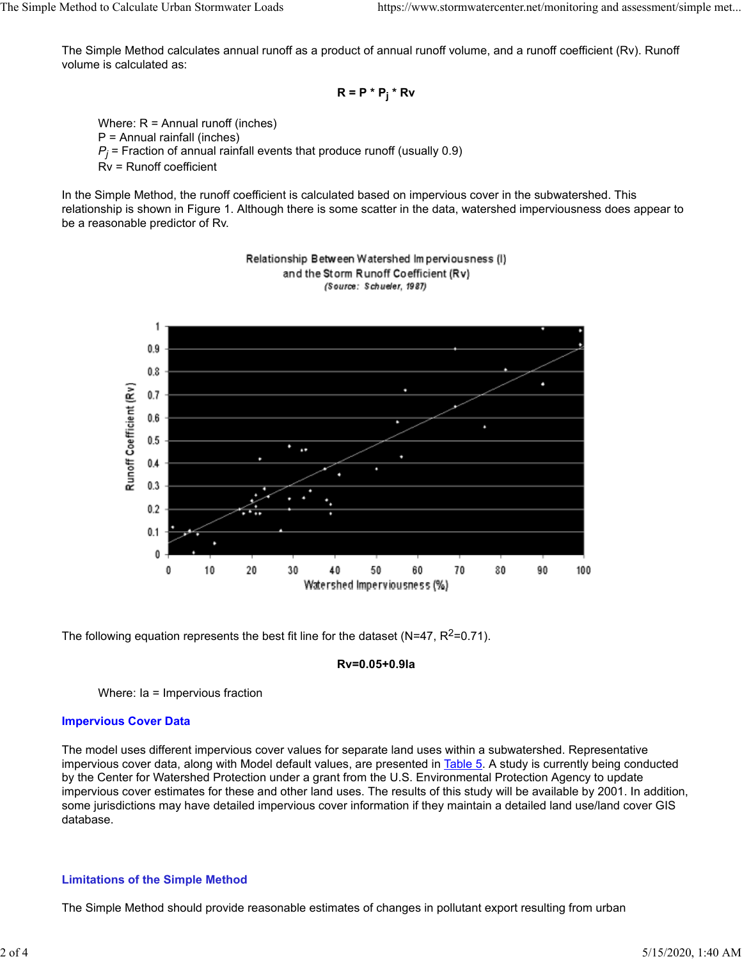The Simple Method calculates annual runoff as a product of annual runoff volume, and a runoff coefficient (Rv). Runoff volume is calculated as:

$$
R = P * P_j * Rv
$$

Where: R = Annual runoff (inches) P = Annual rainfall (inches)  $P_j$  = Fraction of annual rainfall events that produce runoff (usually 0.9)  $\,$ Rv = Runoff coefficient

In the Simple Method, the runoff coefficient is calculated based on impervious cover in the subwatershed. This relationship is shown in Figure 1. Although there is some scatter in the data, watershed imperviousness does appear to be a reasonable predictor of Rv.



#### Relationship Between Watershed Imperviousness (I) and the Storm Runoff Coefficient (Rv) (Source: Schueler, 1987)

The following equation represents the best fit line for the dataset (N=47,  $R^2$ =0.71).

#### **Rv=0.05+0.9Ia**

Where: Ia = Impervious fraction

## **Impervious Cover Data**

The model uses different impervious cover values for separate land uses within a subwatershed. Representative impervious cover data, along with Model default values, are presented in Table 5. A study is currently being conducted by the Center for Watershed Protection under a grant from the U.S. Environmental Protection Agency to update impervious cover estimates for these and other land uses. The results of this study will be available by 2001. In addition, some jurisdictions may have detailed impervious cover information if they maintain a detailed land use/land cover GIS database.

### **Limitations of the Simple Method**

The Simple Method should provide reasonable estimates of changes in pollutant export resulting from urban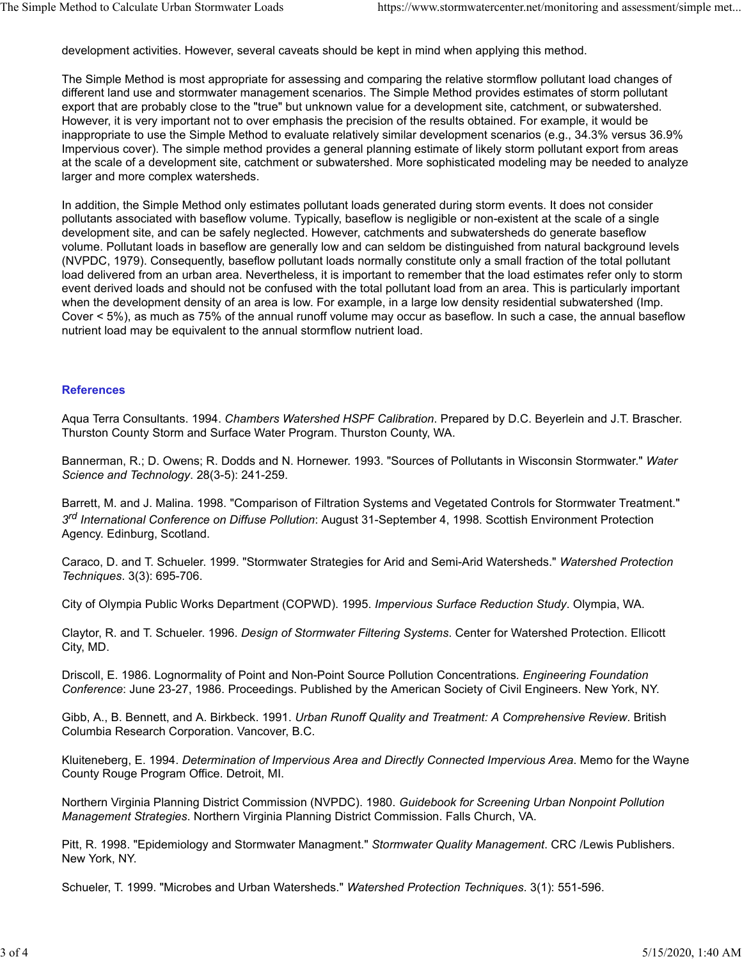development activities. However, several caveats should be kept in mind when applying this method.

The Simple Method is most appropriate for assessing and comparing the relative stormflow pollutant load changes of different land use and stormwater management scenarios. The Simple Method provides estimates of storm pollutant export that are probably close to the "true" but unknown value for a development site, catchment, or subwatershed. However, it is very important not to over emphasis the precision of the results obtained. For example, it would be inappropriate to use the Simple Method to evaluate relatively similar development scenarios (e.g., 34.3% versus 36.9% Impervious cover). The simple method provides a general planning estimate of likely storm pollutant export from areas at the scale of a development site, catchment or subwatershed. More sophisticated modeling may be needed to analyze larger and more complex watersheds.

In addition, the Simple Method only estimates pollutant loads generated during storm events. It does not consider pollutants associated with baseflow volume. Typically, baseflow is negligible or non-existent at the scale of a single development site, and can be safely neglected. However, catchments and subwatersheds do generate baseflow volume. Pollutant loads in baseflow are generally low and can seldom be distinguished from natural background levels (NVPDC, 1979). Consequently, baseflow pollutant loads normally constitute only a small fraction of the total pollutant load delivered from an urban area. Nevertheless, it is important to remember that the load estimates refer only to storm event derived loads and should not be confused with the total pollutant load from an area. This is particularly important when the development density of an area is low. For example, in a large low density residential subwatershed (Imp. Cover < 5%), as much as 75% of the annual runoff volume may occur as baseflow. In such a case, the annual baseflow nutrient load may be equivalent to the annual stormflow nutrient load.

## **References**

Aqua Terra Consultants. 1994. *Chambers Watershed HSPF Calibration*. Prepared by D.C. Beyerlein and J.T. Brascher. Thurston County Storm and Surface Water Program. Thurston County, WA.

Bannerman, R.; D. Owens; R. Dodds and N. Hornewer. 1993. "Sources of Pollutants in Wisconsin Stormwater." *Water Science and Technology*. 28(3-5): 241-259.

Barrett, M. and J. Malina. 1998. "Comparison of Filtration Systems and Vegetated Controls for Stormwater Treatment." *3rd International Conference on Diffuse Pollution*: August 31-September 4, 1998. Scottish Environment Protection Agency. Edinburg, Scotland.

Caraco, D. and T. Schueler. 1999. "Stormwater Strategies for Arid and Semi-Arid Watersheds." *Watershed Protection Techniques*. 3(3): 695-706.

City of Olympia Public Works Department (COPWD). 1995. *Impervious Surface Reduction Study*. Olympia, WA.

Claytor, R. and T. Schueler. 1996. *Design of Stormwater Filtering Systems*. Center for Watershed Protection. Ellicott City, MD.

Driscoll, E. 1986. Lognormality of Point and Non-Point Source Pollution Concentrations*. Engineering Foundation Conference*: June 23-27, 1986. Proceedings. Published by the American Society of Civil Engineers. New York, NY.

Gibb, A., B. Bennett, and A. Birkbeck. 1991. *Urban Runoff Quality and Treatment: A Comprehensive Review*. British Columbia Research Corporation. Vancover, B.C.

Kluiteneberg, E. 1994. *Determination of Impervious Area and Directly Connected Impervious Area*. Memo for the Wayne County Rouge Program Office. Detroit, MI.

Northern Virginia Planning District Commission (NVPDC). 1980. *Guidebook for Screening Urban Nonpoint Pollution Management Strategies*. Northern Virginia Planning District Commission. Falls Church, VA.

Pitt, R. 1998. "Epidemiology and Stormwater Managment." *Stormwater Quality Management*. CRC /Lewis Publishers. New York, NY.

Schueler, T. 1999. "Microbes and Urban Watersheds." *Watershed Protection Techniques*. 3(1): 551-596.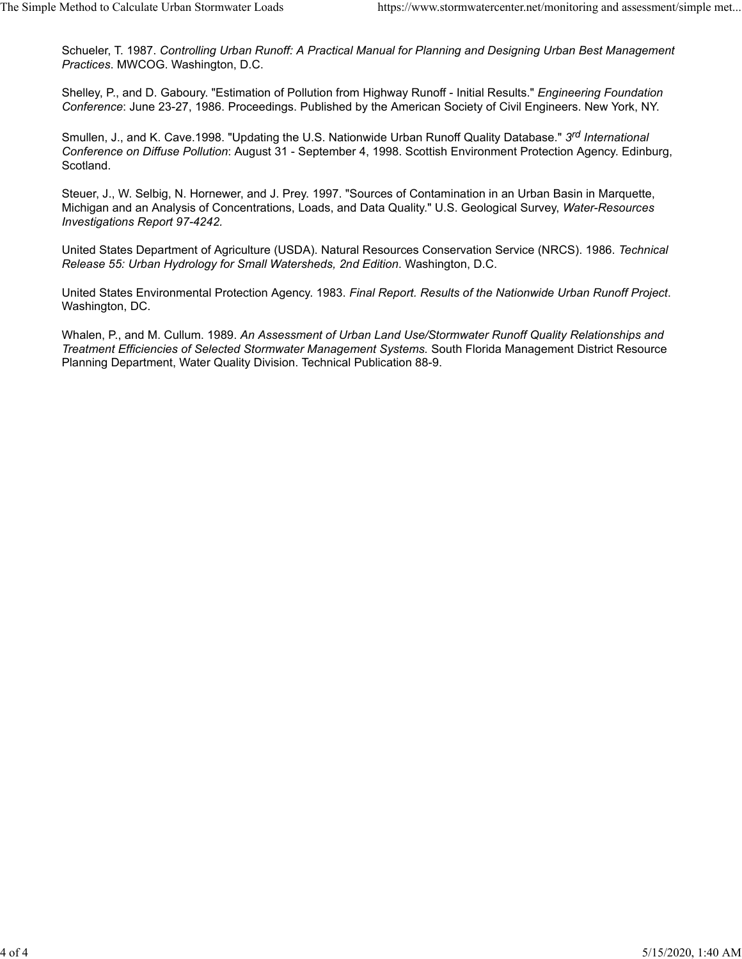Schueler, T. 1987. *Controlling Urban Runoff: A Practical Manual for Planning and Designing Urban Best Management Practices*. MWCOG. Washington, D.C.

Shelley, P., and D. Gaboury. "Estimation of Pollution from Highway Runoff - Initial Results." *Engineering Foundation Conference*: June 23-27, 1986. Proceedings. Published by the American Society of Civil Engineers. New York, NY.

Smullen, J., and K. Cave.1998. "Updating the U.S. Nationwide Urban Runoff Quality Database." *3rd International Conference on Diffuse Pollution*: August 31 - September 4, 1998. Scottish Environment Protection Agency. Edinburg, Scotland.

Steuer, J., W. Selbig, N. Hornewer, and J. Prey. 1997. "Sources of Contamination in an Urban Basin in Marquette, Michigan and an Analysis of Concentrations, Loads, and Data Quality." U.S. Geological Survey, *Water-Resources Investigations Report 97-4242.*

United States Department of Agriculture (USDA). Natural Resources Conservation Service (NRCS). 1986. *Technical Release 55: Urban Hydrology for Small Watersheds, 2nd Edition*. Washington, D.C.

United States Environmental Protection Agency. 1983. *Final Report. Results of the Nationwide Urban Runoff Project*. Washington, DC.

Whalen, P., and M. Cullum. 1989. *An Assessment of Urban Land Use/Stormwater Runoff Quality Relationships and Treatment Efficiencies of Selected Stormwater Management Systems.* South Florida Management District Resource Planning Department, Water Quality Division. Technical Publication 88-9.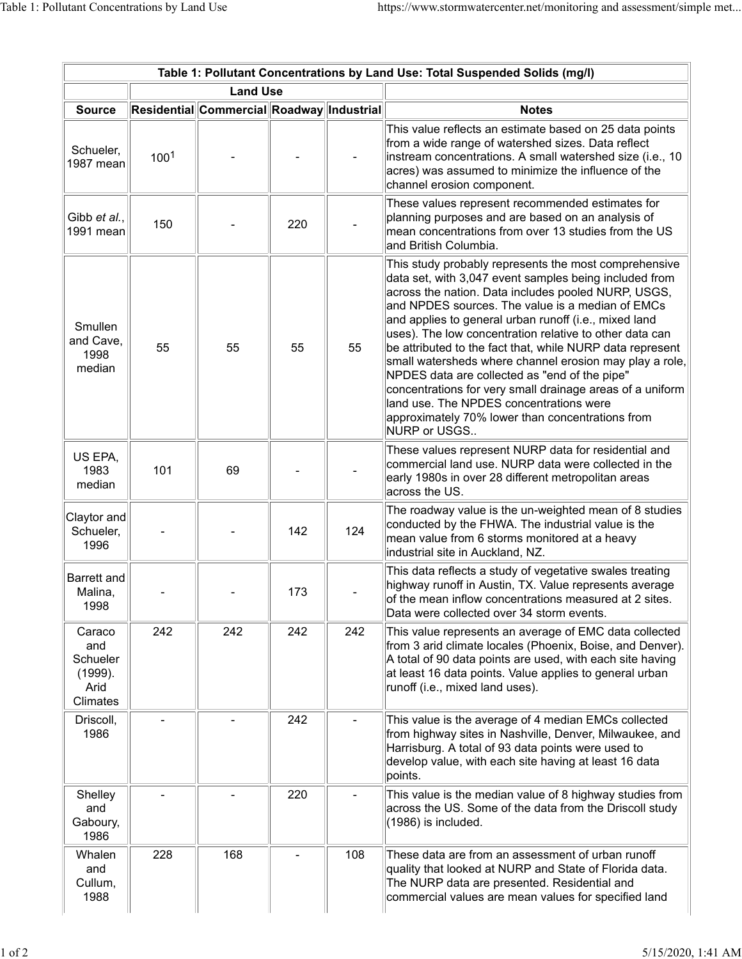|                                                          | Table 1: Pollutant Concentrations by Land Use: Total Suspended Solids (mg/l) |                                           |     |     |                                                                                                                                                                                                                                                                                                                                                                                                                                                                                                                                                                                                                                                                                                         |  |  |  |  |  |
|----------------------------------------------------------|------------------------------------------------------------------------------|-------------------------------------------|-----|-----|---------------------------------------------------------------------------------------------------------------------------------------------------------------------------------------------------------------------------------------------------------------------------------------------------------------------------------------------------------------------------------------------------------------------------------------------------------------------------------------------------------------------------------------------------------------------------------------------------------------------------------------------------------------------------------------------------------|--|--|--|--|--|
|                                                          |                                                                              | <b>Land Use</b>                           |     |     |                                                                                                                                                                                                                                                                                                                                                                                                                                                                                                                                                                                                                                                                                                         |  |  |  |  |  |
| <b>Source</b>                                            |                                                                              | Residential Commercial Roadway Industrial |     |     | <b>Notes</b>                                                                                                                                                                                                                                                                                                                                                                                                                                                                                                                                                                                                                                                                                            |  |  |  |  |  |
| Schueler,<br>1987 mean                                   | 100 <sup>1</sup>                                                             |                                           |     |     | This value reflects an estimate based on 25 data points<br>from a wide range of watershed sizes. Data reflect<br>instream concentrations. A small watershed size (i.e., 10<br>acres) was assumed to minimize the influence of the<br>channel erosion component.                                                                                                                                                                                                                                                                                                                                                                                                                                         |  |  |  |  |  |
| Gibb et al.,<br>1991 mean                                | 150                                                                          |                                           | 220 |     | These values represent recommended estimates for<br>planning purposes and are based on an analysis of<br>$ $ mean concentrations from over 13 studies from the US $\,$<br>and British Columbia.                                                                                                                                                                                                                                                                                                                                                                                                                                                                                                         |  |  |  |  |  |
| Smullen<br>and Cave,<br>1998<br>median                   | 55                                                                           | 55                                        | 55  | 55  | This study probably represents the most comprehensive<br>data set, with 3,047 event samples being included from<br>across the nation. Data includes pooled NURP, USGS,<br>$ $ and NPDES sources. The value is a median of EMCs<br>and applies to general urban runoff (i.e., mixed land<br>uses). The low concentration relative to other data can<br>be attributed to the fact that, while NURP data represent<br>small watersheds where channel erosion may play a role,<br>NPDES data are collected as "end of the pipe"<br>concentrations for very small drainage areas of a uniform<br>land use. The NPDES concentrations were<br>approximately 70% lower than concentrations from<br>NURP or USGS |  |  |  |  |  |
| US EPA,<br>1983<br>median                                | 101                                                                          | 69                                        |     |     | These values represent NURP data for residential and<br>$ $ commercial land use. NURP data were collected in the<br>early 1980s in over 28 different metropolitan areas<br>across the US.                                                                                                                                                                                                                                                                                                                                                                                                                                                                                                               |  |  |  |  |  |
| Claytor and<br>Schueler,<br>1996                         |                                                                              |                                           | 142 | 124 | The roadway value is the un-weighted mean of 8 studies<br>conducted by the FHWA. The industrial value is the<br>mean value from 6 storms monitored at a heavy<br>industrial site in Auckland, NZ.                                                                                                                                                                                                                                                                                                                                                                                                                                                                                                       |  |  |  |  |  |
| Barrett and<br>Malina,<br>1998                           |                                                                              |                                           | 173 |     | This data reflects a study of vegetative swales treating<br>highway runoff in Austin, TX. Value represents average<br>of the mean inflow concentrations measured at 2 sites.<br>Data were collected over 34 storm events.                                                                                                                                                                                                                                                                                                                                                                                                                                                                               |  |  |  |  |  |
| Caraco<br>and<br>Schueler<br>(1999).<br>Arid<br>Climates | 242                                                                          | 242                                       | 242 | 242 | This value represents an average of EMC data collected<br>from 3 arid climate locales (Phoenix, Boise, and Denver).<br>A total of 90 data points are used, with each site having<br>at least 16 data points. Value applies to general urban<br>runoff (i.e., mixed land uses).                                                                                                                                                                                                                                                                                                                                                                                                                          |  |  |  |  |  |
| Driscoll,<br>1986                                        |                                                                              |                                           | 242 |     | This value is the average of 4 median EMCs collected<br>from highway sites in Nashville, Denver, Milwaukee, and<br>Harrisburg. A total of 93 data points were used to<br>develop value, with each site having at least 16 data<br>points.                                                                                                                                                                                                                                                                                                                                                                                                                                                               |  |  |  |  |  |
| Shelley<br>and<br>Gaboury,<br>1986                       |                                                                              |                                           | 220 |     | This value is the median value of 8 highway studies from<br>across the US. Some of the data from the Driscoll study<br>(1986) is included.                                                                                                                                                                                                                                                                                                                                                                                                                                                                                                                                                              |  |  |  |  |  |
| Whalen<br>and<br>Cullum,<br>1988                         | 228                                                                          | 168                                       |     | 108 | These data are from an assessment of urban runoff<br>quality that looked at NURP and State of Florida data.<br>The NURP data are presented. Residential and<br>commercial values are mean values for specified land                                                                                                                                                                                                                                                                                                                                                                                                                                                                                     |  |  |  |  |  |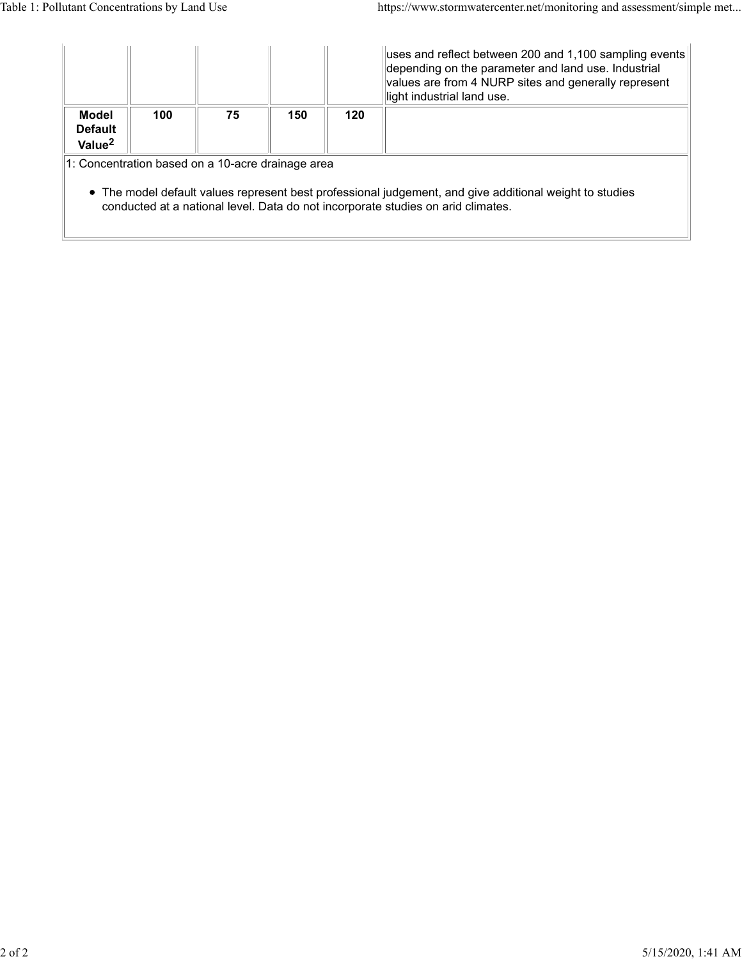|                                                                                                                                                                                                                                                  |     |    |     |     | uses and reflect between 200 and 1,100 sampling events<br>depending on the parameter and land use. Industrial<br>values are from 4 NURP sites and generally represent<br>light industrial land use. |  |  |  |
|--------------------------------------------------------------------------------------------------------------------------------------------------------------------------------------------------------------------------------------------------|-----|----|-----|-----|-----------------------------------------------------------------------------------------------------------------------------------------------------------------------------------------------------|--|--|--|
| <b>Model</b><br><b>Default</b><br>Value <sup>2</sup>                                                                                                                                                                                             | 100 | 75 | 150 | 120 |                                                                                                                                                                                                     |  |  |  |
| 1: Concentration based on a 10-acre drainage area<br>• The model default values represent best professional judgement, and give additional weight to studies<br>conducted at a national level. Data do not incorporate studies on arid climates. |     |    |     |     |                                                                                                                                                                                                     |  |  |  |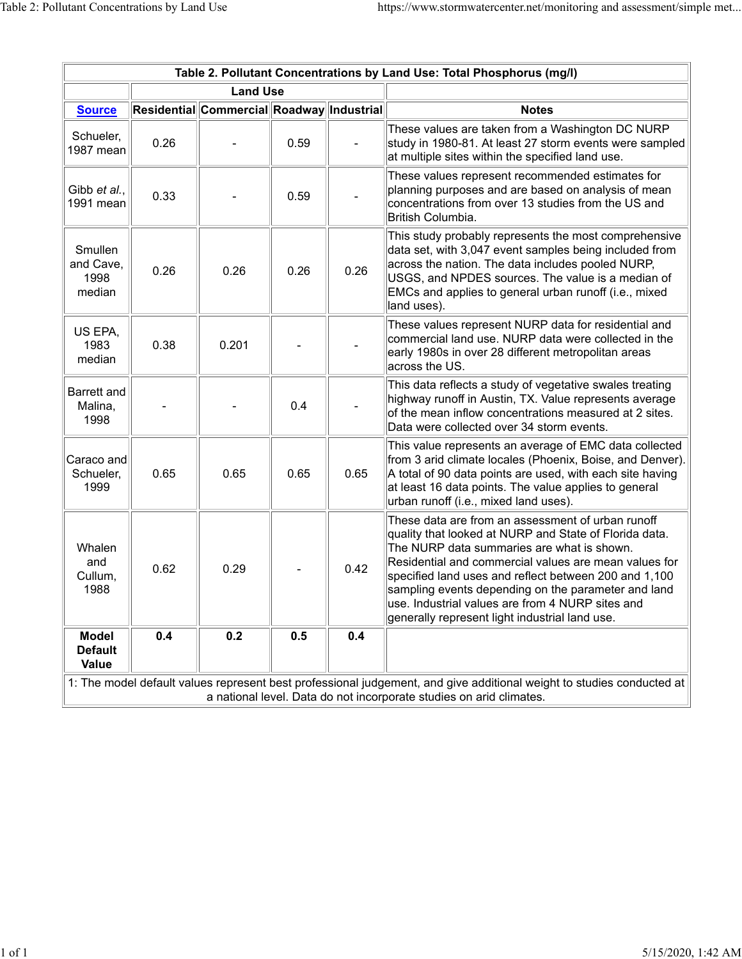| Table 2. Pollutant Concentrations by Land Use: Total Phosphorus (mg/l)                                                                                                                       |      |                                           |      |      |                                                                                                                                                                                                                                                                                                                                                                                                                                          |  |  |  |
|----------------------------------------------------------------------------------------------------------------------------------------------------------------------------------------------|------|-------------------------------------------|------|------|------------------------------------------------------------------------------------------------------------------------------------------------------------------------------------------------------------------------------------------------------------------------------------------------------------------------------------------------------------------------------------------------------------------------------------------|--|--|--|
| <b>Land Use</b>                                                                                                                                                                              |      |                                           |      |      |                                                                                                                                                                                                                                                                                                                                                                                                                                          |  |  |  |
| <b>Source</b>                                                                                                                                                                                |      | Residential Commercial Roadway Industrial |      |      | <b>Notes</b>                                                                                                                                                                                                                                                                                                                                                                                                                             |  |  |  |
| Schueler,<br>1987 mean                                                                                                                                                                       | 0.26 |                                           | 0.59 |      | These values are taken from a Washington DC NURP<br>study in 1980-81. At least 27 storm events were sampled<br>at multiple sites within the specified land use.                                                                                                                                                                                                                                                                          |  |  |  |
| Gibb et al.,<br>1991 mean                                                                                                                                                                    | 0.33 |                                           | 0.59 |      | These values represent recommended estimates for<br>planning purposes and are based on analysis of mean<br>concentrations from over 13 studies from the US and<br>British Columbia.                                                                                                                                                                                                                                                      |  |  |  |
| Smullen<br>and Cave,<br>1998<br>median                                                                                                                                                       | 0.26 | 0.26                                      | 0.26 | 0.26 | This study probably represents the most comprehensive<br>data set, with 3,047 event samples being included from<br>across the nation. The data includes pooled NURP,<br>USGS, and NPDES sources. The value is a median of<br>EMCs and applies to general urban runoff (i.e., mixed<br>land uses).                                                                                                                                        |  |  |  |
| US EPA,<br>1983<br>median                                                                                                                                                                    | 0.38 | 0.201                                     |      |      | These values represent NURP data for residential and<br>commercial land use. NURP data were collected in the<br>early 1980s in over 28 different metropolitan areas<br>across the US.                                                                                                                                                                                                                                                    |  |  |  |
| Barrett and<br>Malina,<br>1998                                                                                                                                                               |      |                                           | 0.4  |      | This data reflects a study of vegetative swales treating<br>highway runoff in Austin, TX. Value represents average<br>of the mean inflow concentrations measured at 2 sites.<br>Data were collected over 34 storm events.                                                                                                                                                                                                                |  |  |  |
| Caraco and<br>Schueler,<br>1999                                                                                                                                                              | 0.65 | 0.65                                      | 0.65 | 0.65 | This value represents an average of EMC data collected<br>from 3 arid climate locales (Phoenix, Boise, and Denver).<br>A total of 90 data points are used, with each site having<br>at least 16 data points. The value applies to general<br>urban runoff (i.e., mixed land uses).                                                                                                                                                       |  |  |  |
| Whalen<br>and<br>Cullum,<br>1988                                                                                                                                                             | 0.62 | 0.29                                      |      | 0.42 | These data are from an assessment of urban runoff<br>quality that looked at NURP and State of Florida data.<br>The NURP data summaries are what is shown.<br>Residential and commercial values are mean values for<br>specified land uses and reflect between 200 and 1,100<br>sampling events depending on the parameter and land<br>use. Industrial values are from 4 NURP sites and<br>generally represent light industrial land use. |  |  |  |
| <b>Model</b><br><b>Default</b><br><b>Value</b>                                                                                                                                               | 0.4  | 0.2                                       | 0.5  | 0.4  |                                                                                                                                                                                                                                                                                                                                                                                                                                          |  |  |  |
| 1: The model default values represent best professional judgement, and give additional weight to studies conducted at<br>a national level. Data do not incorporate studies on arid climates. |      |                                           |      |      |                                                                                                                                                                                                                                                                                                                                                                                                                                          |  |  |  |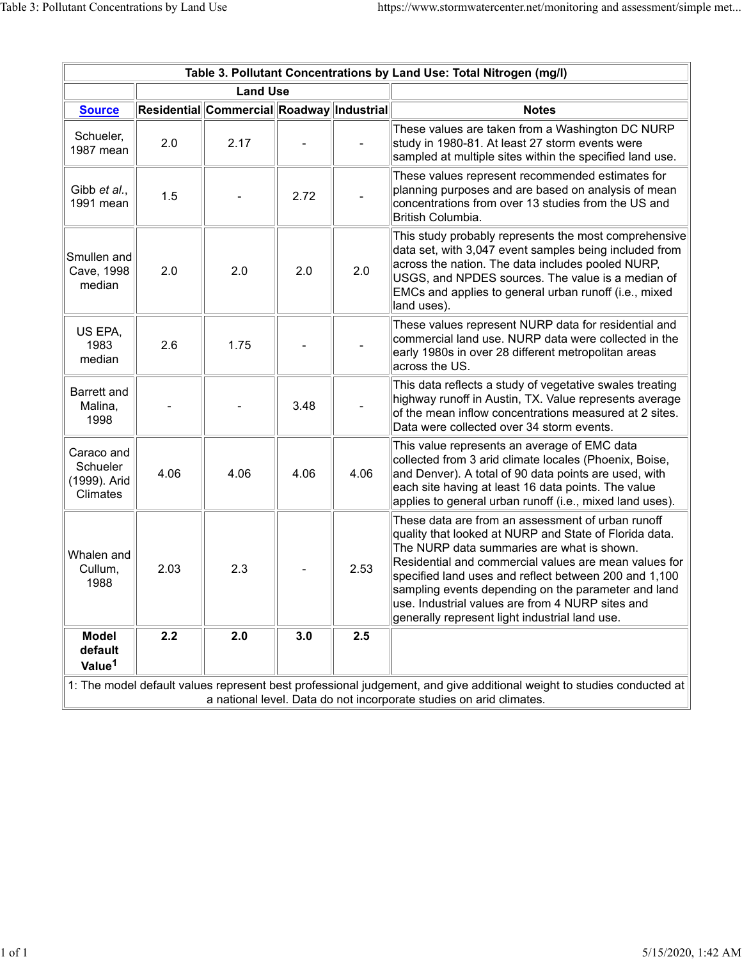| Table 3. Pollutant Concentrations by Land Use: Total Nitrogen (mg/l)                                                                                                                         |      |                                           |      |      |                                                                                                                                                                                                                                                                                                                                                                                                                                           |  |  |  |
|----------------------------------------------------------------------------------------------------------------------------------------------------------------------------------------------|------|-------------------------------------------|------|------|-------------------------------------------------------------------------------------------------------------------------------------------------------------------------------------------------------------------------------------------------------------------------------------------------------------------------------------------------------------------------------------------------------------------------------------------|--|--|--|
| <b>Land Use</b>                                                                                                                                                                              |      |                                           |      |      |                                                                                                                                                                                                                                                                                                                                                                                                                                           |  |  |  |
| <b>Source</b>                                                                                                                                                                                |      | Residential Commercial Roadway Industrial |      |      | <b>Notes</b>                                                                                                                                                                                                                                                                                                                                                                                                                              |  |  |  |
| Schueler,<br>1987 mean                                                                                                                                                                       | 2.0  | 2.17                                      |      |      | These values are taken from a Washington DC NURP<br>study in 1980-81. At least 27 storm events were<br>sampled at multiple sites within the specified land use.                                                                                                                                                                                                                                                                           |  |  |  |
| Gibb et al.,<br>1991 mean                                                                                                                                                                    | 1.5  |                                           | 2.72 |      | These values represent recommended estimates for<br>planning purposes and are based on analysis of mean<br>concentrations from over 13 studies from the US and<br>British Columbia.                                                                                                                                                                                                                                                       |  |  |  |
| Smullen and<br>Cave, 1998<br>median                                                                                                                                                          | 2.0  | 2.0                                       | 2.0  | 2.0  | This study probably represents the most comprehensive<br>data set, with 3,047 event samples being included from<br>across the nation. The data includes pooled NURP,<br>USGS, and NPDES sources. The value is a median of<br>EMCs and applies to general urban runoff (i.e., mixed<br>land uses).                                                                                                                                         |  |  |  |
| US EPA,<br>1983<br>median                                                                                                                                                                    | 2.6  | 1.75                                      |      |      | These values represent NURP data for residential and<br>commercial land use. NURP data were collected in the<br>early 1980s in over 28 different metropolitan areas<br>across the US.                                                                                                                                                                                                                                                     |  |  |  |
| Barrett and<br>Malina,<br>1998                                                                                                                                                               |      |                                           | 3.48 |      | This data reflects a study of vegetative swales treating<br>highway runoff in Austin, TX. Value represents average<br>of the mean inflow concentrations measured at 2 sites.<br>Data were collected over 34 storm events.                                                                                                                                                                                                                 |  |  |  |
| Caraco and<br>Schueler<br>(1999). Arid<br>Climates                                                                                                                                           | 4.06 | 4.06                                      | 4.06 | 4.06 | This value represents an average of EMC data<br>collected from 3 arid climate locales (Phoenix, Boise,<br>and Denver). A total of 90 data points are used, with<br>each site having at least 16 data points. The value<br>applies to general urban runoff (i.e., mixed land uses).                                                                                                                                                        |  |  |  |
| Whalen and<br>Cullum,<br>1988                                                                                                                                                                | 2.03 | 2.3                                       |      | 2.53 | These data are from an assessment of urban runoff<br>quality that looked at NURP and State of Florida data.<br>The NURP data summaries are what is shown.<br>Residential and commercial values are mean values for<br>specified land uses and reflect between 200 and 1,100<br>sampling events depending on the parameter and land<br>luse. Industrial values are from 4 NURP sites and<br>generally represent light industrial land use. |  |  |  |
| <b>Model</b><br>default<br>Value <sup>1</sup>                                                                                                                                                | 2.2  | 2.0                                       | 3.0  | 2.5  |                                                                                                                                                                                                                                                                                                                                                                                                                                           |  |  |  |
| 1: The model default values represent best professional judgement, and give additional weight to studies conducted at<br>a national level. Data do not incorporate studies on arid climates. |      |                                           |      |      |                                                                                                                                                                                                                                                                                                                                                                                                                                           |  |  |  |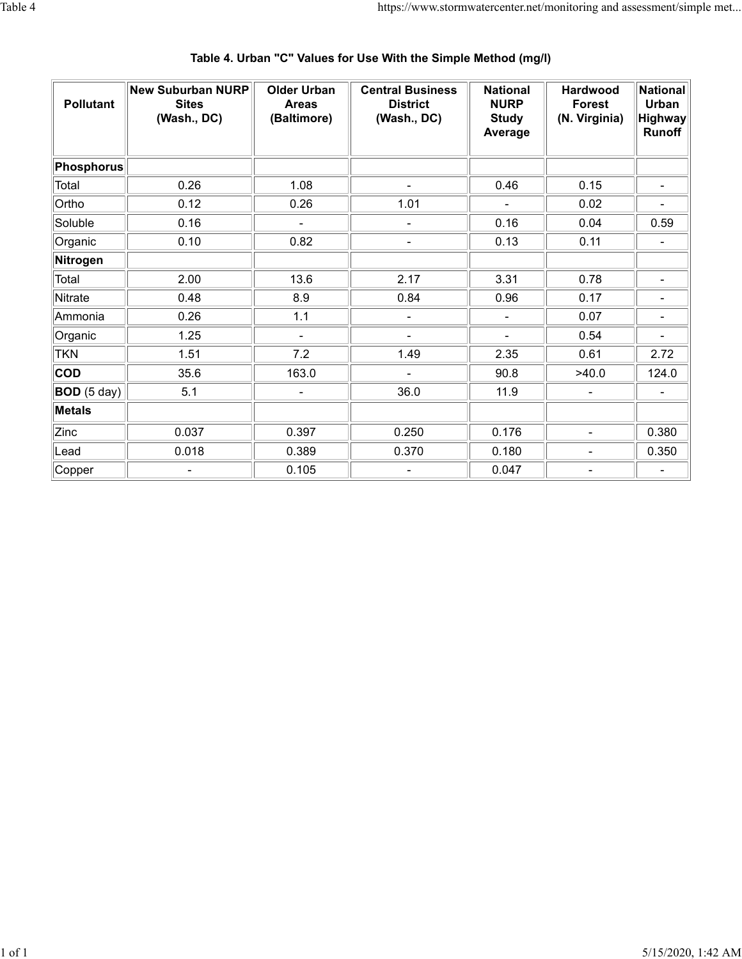| <b>Pollutant</b> | New Suburban NURP<br><b>Sites</b><br>(Wash., DC) | <b>Older Urban</b><br><b>Areas</b><br>(Baltimore) | <b>Central Business</b><br><b>District</b><br>(Wash., DC) | <b>National</b><br><b>NURP</b><br><b>Study</b><br>Average | <b>Hardwood</b><br><b>Forest</b><br>(N. Virginia) | <b>National</b><br>Urban<br>Highway<br>Runoff |
|------------------|--------------------------------------------------|---------------------------------------------------|-----------------------------------------------------------|-----------------------------------------------------------|---------------------------------------------------|-----------------------------------------------|
| Phosphorus       |                                                  |                                                   |                                                           |                                                           |                                                   |                                               |
| Total            | 0.26                                             | 1.08                                              |                                                           | 0.46                                                      | 0.15                                              |                                               |
| Ortho            | 0.12                                             | 0.26                                              | 1.01                                                      |                                                           | 0.02                                              |                                               |
| Soluble          | 0.16                                             | ÷,                                                |                                                           | 0.16                                                      | 0.04                                              | 0.59                                          |
| Organic          | 0.10                                             | 0.82                                              | $\overline{\phantom{a}}$                                  | 0.13                                                      | 0.11                                              | $\overline{\phantom{a}}$                      |
| Nitrogen         |                                                  |                                                   |                                                           |                                                           |                                                   |                                               |
| Total            | 2.00                                             | 13.6                                              | 2.17                                                      | 3.31                                                      | 0.78                                              | $\blacksquare$                                |
| Nitrate          | 0.48                                             | 8.9                                               | 0.84                                                      | 0.96                                                      | 0.17                                              |                                               |
| Ammonia          | 0.26                                             | 1.1                                               | $\blacksquare$                                            | $\blacksquare$                                            | 0.07                                              | $\blacksquare$                                |
| Organic          | 1.25                                             | $\overline{\phantom{0}}$                          |                                                           |                                                           | 0.54                                              |                                               |
| <b>TKN</b>       | 1.51                                             | 7.2                                               | 1.49                                                      | 2.35                                                      | 0.61                                              | 2.72                                          |
| <b>COD</b>       | 35.6                                             | 163.0                                             |                                                           | 90.8                                                      | >40.0                                             | 124.0                                         |
| BOD (5 day)      | 5.1                                              | $\overline{\phantom{0}}$                          | 36.0                                                      | 11.9                                                      |                                                   |                                               |
| <b>Metals</b>    |                                                  |                                                   |                                                           |                                                           |                                                   |                                               |
| Zinc             | 0.037                                            | 0.397                                             | 0.250                                                     | 0.176                                                     |                                                   | 0.380                                         |
| Lead             | 0.018                                            | 0.389                                             | 0.370                                                     | 0.180                                                     |                                                   | 0.350                                         |
| Copper           |                                                  | 0.105                                             |                                                           | 0.047                                                     |                                                   |                                               |

# **Table 4. Urban "C" Values for Use With the Simple Method (mg/l)**